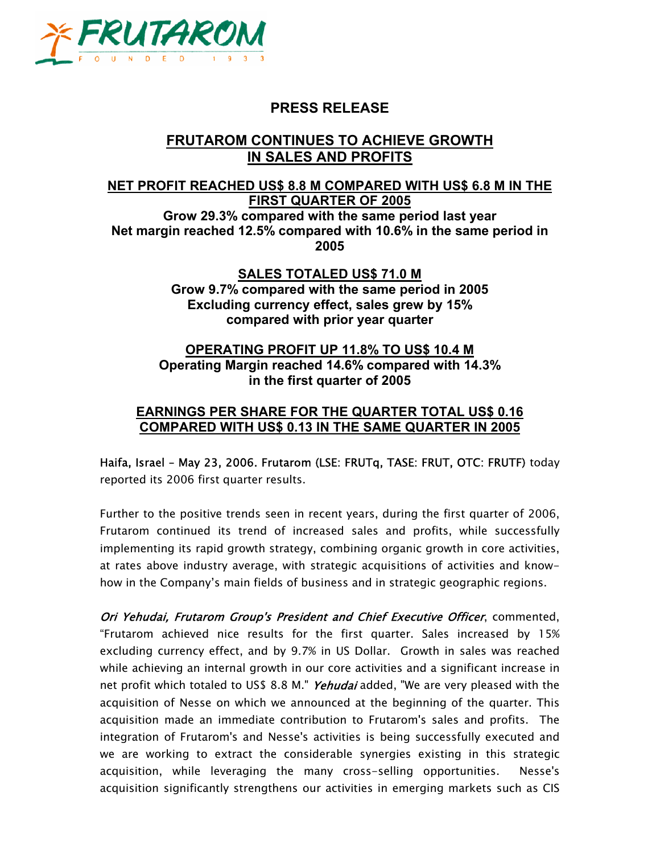

# **PRESS RELEASE**

## **FRUTAROM CONTINUES TO ACHIEVE GROWTH IN SALES AND PROFITS**

## **NET PROFIT REACHED US\$ 8.8 M COMPARED WITH US\$ 6.8 M IN THE FIRST QUARTER OF 2005**

**Grow 29.3% compared with the same period last year Net margin reached 12.5% compared with 10.6% in the same period in 2005** 

> **SALES TOTALED US\$ 71.0 M Grow 9.7% compared with the same period in 2005 Excluding currency effect, sales grew by 15% compared with prior year quarter**

### **OPERATING PROFIT UP 11.8% TO US\$ 10.4 M Operating Margin reached 14.6% compared with 14.3% in the first quarter of 2005**

### **EARNINGS PER SHARE FOR THE QUARTER TOTAL US\$ 0.16 COMPARED WITH US\$ 0.13 IN THE SAME QUARTER IN 2005**

Haifa, Israel – May 23, 2006. Frutarom (LSE: FRUTq, TASE: FRUT, OTC: FRUTF) today reported its 2006 first quarter results.

Further to the positive trends seen in recent years, during the first quarter of 2006, Frutarom continued its trend of increased sales and profits, while successfully implementing its rapid growth strategy, combining organic growth in core activities, at rates above industry average, with strategic acquisitions of activities and knowhow in the Company's main fields of business and in strategic geographic regions.

Ori Yehudai, Frutarom Group's President and Chief Executive Officer, commented, "Frutarom achieved nice results for the first quarter. Sales increased by 15% excluding currency effect, and by 9.7% in US Dollar. Growth in sales was reached while achieving an internal growth in our core activities and a significant increase in net profit which totaled to US\$ 8.8 M." *Yehudai* added, "We are very pleased with the acquisition of Nesse on which we announced at the beginning of the quarter. This acquisition made an immediate contribution to Frutarom's sales and profits. The integration of Frutarom's and Nesse's activities is being successfully executed and we are working to extract the considerable synergies existing in this strategic acquisition, while leveraging the many cross-selling opportunities. Nesse's acquisition significantly strengthens our activities in emerging markets such as CIS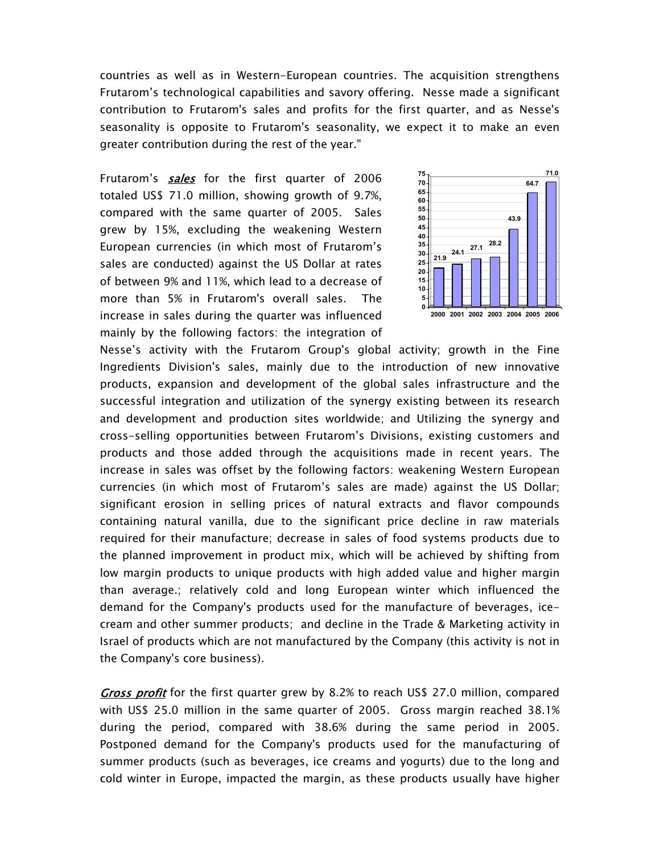countries as well as in Western-European countries. The acquisition strengthens Frutarom's technological capabilities and savory offering. Nesse made a significant contribution to Frutarom's sales and profits for the first quarter, and as Nesse's seasonality is opposite to Frutarom's seasonality, we expect it to make an even greater contribution during the rest of the year."

Frutarom's **sales** for the first quarter of 2006 totaled US\$ 71.0 million, showing growth of 9.7%, compared with the same quarter of 2005. Sales grew by 15%, excluding the weakening Western European currencies (in which most of Frutarom's sales are conducted) against the US Dollar at rates of between 9% and 11%, which lead to a decrease of more than 5% in Frutarom's overall sales. The increase in sales during the quarter was influenced mainly by the following factors: the integration of



Nesse's activity with the Frutarom Group's global activity; growth in the Fine Ingredients Division's sales, mainly due to the introduction of new innovative products, expansion and development of the global sales infrastructure and the successful integration and utilization of the synergy existing between its research and development and production sites worldwide; and Utilizing the synergy and cross-selling opportunities between Frutarom's Divisions, existing customers and products and those added through the acquisitions made in recent years. The increase in sales was offset by the following factors: weakening Western European currencies (in which most of Frutarom's sales are made) against the US Dollar; significant erosion in selling prices of natural extracts and flavor compounds containing natural vanilla, due to the significant price decline in raw materials required for their manufacture; decrease in sales of food systems products due to the planned improvement in product mix, which will be achieved by shifting from low margin products to unique products with high added value and higher margin than average.; relatively cold and long European winter which influenced the demand for the Company's products used for the manufacture of beverages, icecream and other summer products; and decline in the Trade & Marketing activity in Israel of products which are not manufactured by the Company (this activity is not in the Company's core business).

Gross profit for the first quarter grew by 8.2% to reach US\$ 27.0 million, compared with US\$ 25.0 million in the same quarter of 2005. Gross margin reached 38.1% during the period, compared with 38.6% during the same period in 2005. Postponed demand for the Company's products used for the manufacturing of summer products (such as beverages, ice creams and yogurts) due to the long and cold winter in Europe, impacted the margin, as these products usually have higher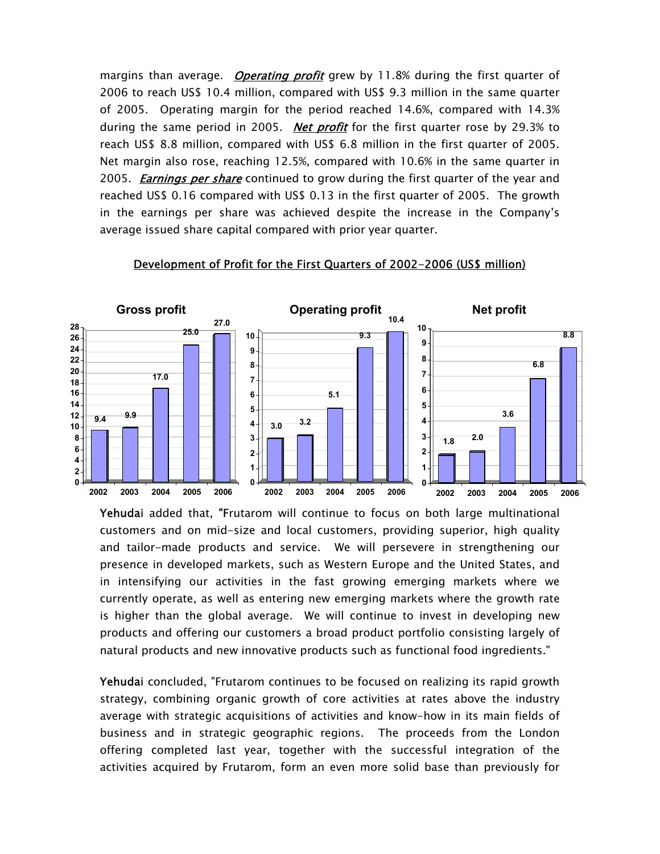margins than average. *Operating profit* grew by 11.8% during the first quarter of 2006 to reach US\$ 10.4 million, compared with US\$ 9.3 million in the same quarter of 2005. Operating margin for the period reached 14.6%, compared with 14.3% during the same period in 2005. Net profit for the first quarter rose by 29.3% to reach US\$ 8.8 million, compared with US\$ 6.8 million in the first quarter of 2005. Net margin also rose, reaching 12.5%, compared with 10.6% in the same quarter in 2005. *Earnings per share* continued to grow during the first quarter of the year and reached US\$ 0.16 compared with US\$ 0.13 in the first quarter of 2005. The growth in the earnings per share was achieved despite the increase in the Company's average issued share capital compared with prior year quarter.



#### Development of Profit for the First Quarters of 2002-2006 (US\$ million)

Yehudai added that, "Frutarom will continue to focus on both large multinational customers and on mid-size and local customers, providing superior, high quality and tailor-made products and service. We will persevere in strengthening our presence in developed markets, such as Western Europe and the United States, and in intensifying our activities in the fast growing emerging markets where we currently operate, as well as entering new emerging markets where the growth rate is higher than the global average. We will continue to invest in developing new products and offering our customers a broad product portfolio consisting largely of natural products and new innovative products such as functional food ingredients."

Yehudai concluded, "Frutarom continues to be focused on realizing its rapid growth strategy, combining organic growth of core activities at rates above the industry average with strategic acquisitions of activities and know-how in its main fields of business and in strategic geographic regions. The proceeds from the London offering completed last year, together with the successful integration of the activities acquired by Frutarom, form an even more solid base than previously for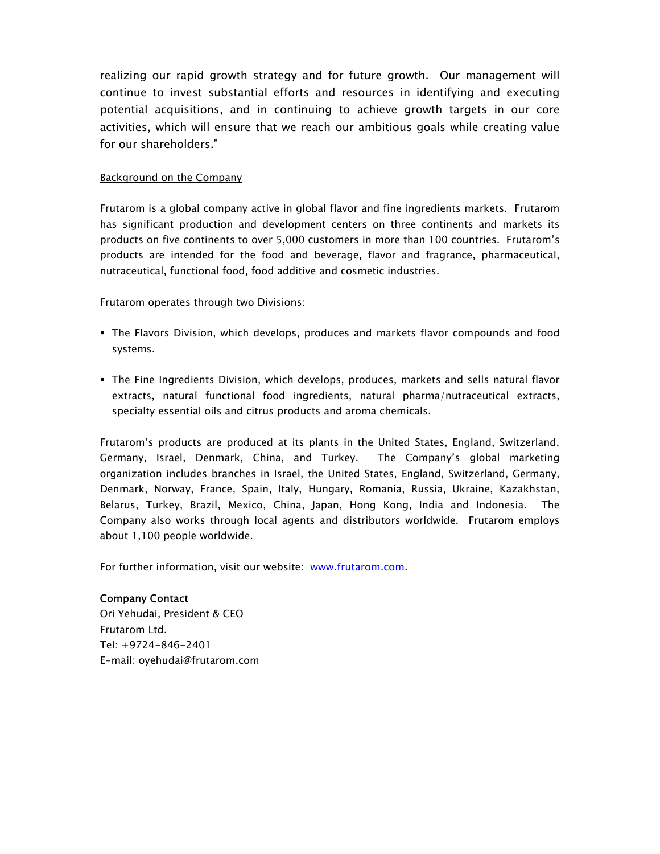realizing our rapid growth strategy and for future growth. Our management will continue to invest substantial efforts and resources in identifying and executing potential acquisitions, and in continuing to achieve growth targets in our core activities, which will ensure that we reach our ambitious goals while creating value for our shareholders."

#### Background on the Company

Frutarom is a global company active in global flavor and fine ingredients markets. Frutarom has significant production and development centers on three continents and markets its products on five continents to over 5,000 customers in more than 100 countries. Frutarom's products are intended for the food and beverage, flavor and fragrance, pharmaceutical, nutraceutical, functional food, food additive and cosmetic industries.

Frutarom operates through two Divisions:

- The Flavors Division, which develops, produces and markets flavor compounds and food systems.
- The Fine Ingredients Division, which develops, produces, markets and sells natural flavor extracts, natural functional food ingredients, natural pharma/nutraceutical extracts, specialty essential oils and citrus products and aroma chemicals.

Frutarom's products are produced at its plants in the United States, England, Switzerland, Germany, Israel, Denmark, China, and Turkey. The Company's global marketing organization includes branches in Israel, the United States, England, Switzerland, Germany, Denmark, Norway, France, Spain, Italy, Hungary, Romania, Russia, Ukraine, Kazakhstan, Belarus, Turkey, Brazil, Mexico, China, Japan, Hong Kong, India and Indonesia. The Company also works through local agents and distributors worldwide. Frutarom employs about 1,100 people worldwide.

For further information, visit our website: www.frutarom.com.

Company Contact Ori Yehudai, President & CEO Frutarom Ltd. Tel: +9724-846-2401 E-mail: oyehudai@frutarom.com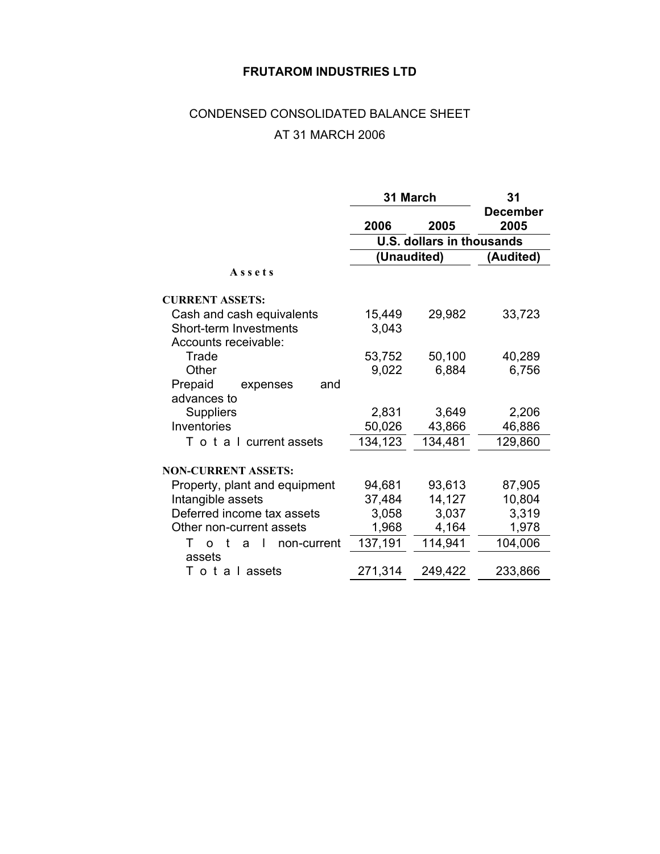### **FRUTAROM INDUSTRIES LTD**

# CONDENSED CONSOLIDATED BALANCE SHEET AT 31 MARCH 2006

|                                        | 31 March                         | 31      |                  |  |
|----------------------------------------|----------------------------------|---------|------------------|--|
|                                        | 2006                             | 2005    | December<br>2005 |  |
|                                        | <b>U.S. dollars in thousands</b> |         |                  |  |
|                                        | (Unaudited)                      |         | (Audited)        |  |
| Assets                                 |                                  |         |                  |  |
| <b>CURRENT ASSETS:</b>                 |                                  |         |                  |  |
| Cash and cash equivalents              | 15,449                           | 29,982  | 33,723           |  |
| Short-term Investments                 | 3,043                            |         |                  |  |
| Accounts receivable:                   |                                  |         |                  |  |
| Trade                                  | 53,752                           | 50,100  | 40,289           |  |
| Other                                  | 9,022                            | 6,884   | 6,756            |  |
| Prepaid<br>and<br>expenses             |                                  |         |                  |  |
| advances to                            |                                  |         |                  |  |
| <b>Suppliers</b>                       | 2,831                            | 3,649   | 2,206            |  |
| Inventories                            | 50,026                           | 43,866  | 46,886           |  |
| T o t a I current assets               | 134,123                          | 134,481 | 129,860          |  |
|                                        |                                  |         |                  |  |
| <b>NON-CURRENT ASSETS:</b>             |                                  |         |                  |  |
| Property, plant and equipment          | 94,681                           | 93,613  | 87,905           |  |
| Intangible assets                      | 37,484                           | 14,127  | 10,804           |  |
| Deferred income tax assets             | 3,058                            | 3,037   | 3,319            |  |
| Other non-current assets               | 1,968                            | 4,164   | 1,978            |  |
| t<br>т<br>non-current<br>a<br>$\Omega$ | 137,191                          | 114,941 | 104,006          |  |
| assets                                 |                                  |         |                  |  |
| Totalassets                            | 271,314                          | 249,422 | 233,866          |  |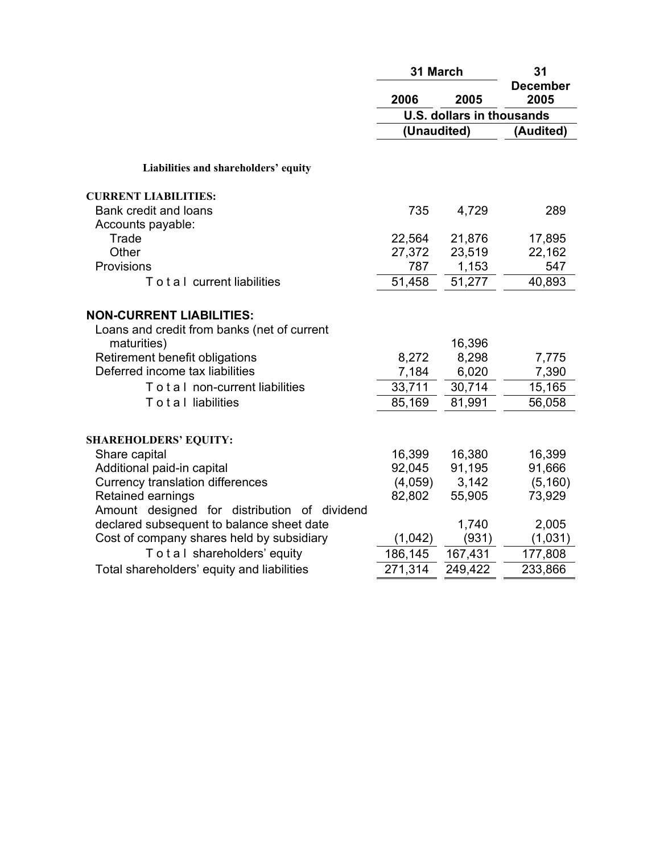|                                               | 31 March    |                                  | 31                      |  |
|-----------------------------------------------|-------------|----------------------------------|-------------------------|--|
|                                               | 2006        | 2005                             | <b>December</b><br>2005 |  |
|                                               |             | <b>U.S. dollars in thousands</b> |                         |  |
|                                               | (Unaudited) |                                  | (Audited)               |  |
|                                               |             |                                  |                         |  |
| Liabilities and shareholders' equity          |             |                                  |                         |  |
| <b>CURRENT LIABILITIES:</b>                   |             |                                  |                         |  |
| Bank credit and loans                         | 735         | 4,729                            | 289                     |  |
| Accounts payable:                             |             |                                  |                         |  |
| Trade                                         | 22,564      | 21,876                           | 17,895                  |  |
| Other                                         | 27,372      | 23,519                           | 22,162                  |  |
| Provisions                                    | 787         | 1,153                            | 547                     |  |
| To tal current liabilities                    | 51,458      | 51,277                           | 40,893                  |  |
| <b>NON-CURRENT LIABILITIES:</b>               |             |                                  |                         |  |
| Loans and credit from banks (net of current   |             |                                  |                         |  |
| maturities)                                   |             | 16,396                           |                         |  |
| Retirement benefit obligations                | 8,272       | 8,298                            | 7,775                   |  |
| Deferred income tax liabilities               | 7,184       | 6,020                            | 7,390                   |  |
| To t a I non-current liabilities              | 33,711      | 30,714                           | 15,165                  |  |
| Total liabilities                             | 85,169      | 81,991                           | 56,058                  |  |
|                                               |             |                                  |                         |  |
| <b>SHAREHOLDERS' EQUITY:</b><br>Share capital | 16,399      | 16,380                           | 16,399                  |  |
| Additional paid-in capital                    | 92,045      | 91,195                           | 91,666                  |  |
| <b>Currency translation differences</b>       | (4,059)     | 3,142                            | (5, 160)                |  |
| Retained earnings                             | 82,802      | 55,905                           | 73,929                  |  |
| Amount designed for distribution of dividend  |             |                                  |                         |  |
| declared subsequent to balance sheet date     |             | 1,740                            | 2,005                   |  |
| Cost of company shares held by subsidiary     | (1,042)     | (931)                            | (1,031)                 |  |
| Total shareholders' equity                    | 186,145     | 167,431                          | 177,808                 |  |
| Total shareholders' equity and liabilities    | 271,314     | 249,422                          | 233,866                 |  |